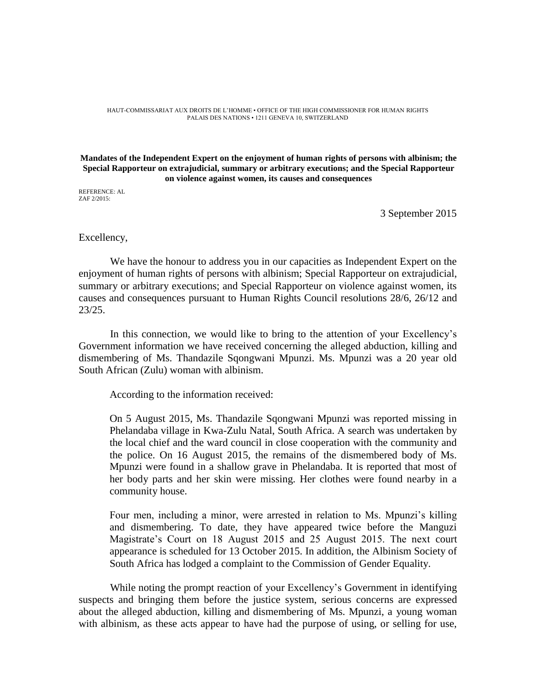HAUT-COMMISSARIAT AUX DROITS DE L'HOMME • OFFICE OF THE HIGH COMMISSIONER FOR HUMAN RIGHTS PALAIS DES NATIONS • 1211 GENEVA 10, SWITZERLAND

## **Mandates of the Independent Expert on the enjoyment of human rights of persons with albinism; the Special Rapporteur on extrajudicial, summary or arbitrary executions; and the Special Rapporteur on violence against women, its causes and consequences**

REFERENCE: AL ZAF 2/2015:

3 September 2015

## Excellency,

We have the honour to address you in our capacities as Independent Expert on the enjoyment of human rights of persons with albinism; Special Rapporteur on extrajudicial, summary or arbitrary executions; and Special Rapporteur on violence against women, its causes and consequences pursuant to Human Rights Council resolutions 28/6, 26/12 and 23/25.

In this connection, we would like to bring to the attention of your Excellency's Government information we have received concerning the alleged abduction, killing and dismembering of Ms. Thandazile Sqongwani Mpunzi. Ms. Mpunzi was a 20 year old South African (Zulu) woman with albinism.

According to the information received:

On 5 August 2015, Ms. Thandazile Sqongwani Mpunzi was reported missing in Phelandaba village in Kwa-Zulu Natal, South Africa. A search was undertaken by the local chief and the ward council in close cooperation with the community and the police. On 16 August 2015, the remains of the dismembered body of Ms. Mpunzi were found in a shallow grave in Phelandaba. It is reported that most of her body parts and her skin were missing. Her clothes were found nearby in a community house.

Four men, including a minor, were arrested in relation to Ms. Mpunzi's killing and dismembering. To date, they have appeared twice before the Manguzi Magistrate's Court on 18 August 2015 and 25 August 2015. The next court appearance is scheduled for 13 October 2015. In addition, the Albinism Society of South Africa has lodged a complaint to the Commission of Gender Equality.

While noting the prompt reaction of your Excellency's Government in identifying suspects and bringing them before the justice system, serious concerns are expressed about the alleged abduction, killing and dismembering of Ms. Mpunzi, a young woman with albinism, as these acts appear to have had the purpose of using, or selling for use,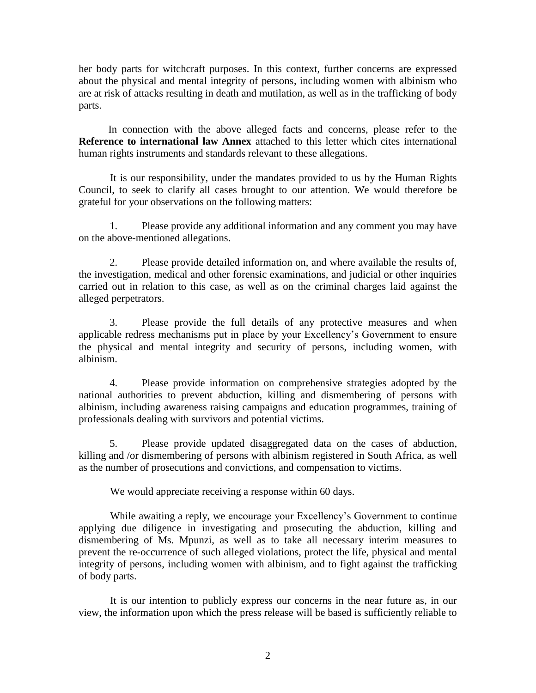her body parts for witchcraft purposes. In this context, further concerns are expressed about the physical and mental integrity of persons, including women with albinism who are at risk of attacks resulting in death and mutilation, as well as in the trafficking of body parts.

In connection with the above alleged facts and concerns, please refer to the **Reference to international law Annex** attached to this letter which cites international human rights instruments and standards relevant to these allegations.

It is our responsibility, under the mandates provided to us by the Human Rights Council, to seek to clarify all cases brought to our attention. We would therefore be grateful for your observations on the following matters:

1. Please provide any additional information and any comment you may have on the above-mentioned allegations.

2. Please provide detailed information on, and where available the results of, the investigation, medical and other forensic examinations, and judicial or other inquiries carried out in relation to this case, as well as on the criminal charges laid against the alleged perpetrators.

3. Please provide the full details of any protective measures and when applicable redress mechanisms put in place by your Excellency's Government to ensure the physical and mental integrity and security of persons, including women, with albinism.

4. Please provide information on comprehensive strategies adopted by the national authorities to prevent abduction, killing and dismembering of persons with albinism, including awareness raising campaigns and education programmes, training of professionals dealing with survivors and potential victims.

5. Please provide updated disaggregated data on the cases of abduction, killing and /or dismembering of persons with albinism registered in South Africa, as well as the number of prosecutions and convictions, and compensation to victims.

We would appreciate receiving a response within 60 days.

While awaiting a reply, we encourage your Excellency's Government to continue applying due diligence in investigating and prosecuting the abduction, killing and dismembering of Ms. Mpunzi, as well as to take all necessary interim measures to prevent the re-occurrence of such alleged violations, protect the life, physical and mental integrity of persons, including women with albinism, and to fight against the trafficking of body parts.

It is our intention to publicly express our concerns in the near future as, in our view, the information upon which the press release will be based is sufficiently reliable to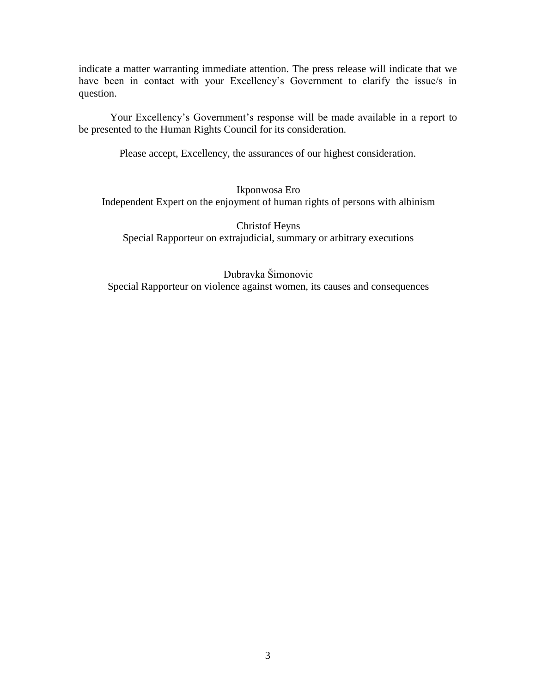indicate a matter warranting immediate attention. The press release will indicate that we have been in contact with your Excellency's Government to clarify the issue/s in question.

Your Excellency's Government's response will be made available in a report to be presented to the Human Rights Council for its consideration.

Please accept, Excellency, the assurances of our highest consideration.

Ikponwosa Ero Independent Expert on the enjoyment of human rights of persons with albinism

Christof Heyns Special Rapporteur on extrajudicial, summary or arbitrary executions

Dubravka Šimonovic Special Rapporteur on violence against women, its causes and consequences